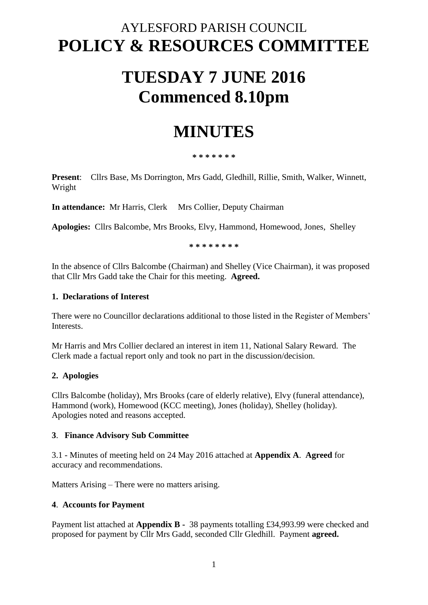## AYLESFORD PARISH COUNCIL **POLICY & RESOURCES COMMITTEE**

# **TUESDAY 7 JUNE 2016 Commenced 8.10pm**

## **MINUTES**

#### **\* \* \* \* \* \* \***

**Present**: Cllrs Base, Ms Dorrington, Mrs Gadd, Gledhill, Rillie, Smith, Walker, Winnett, Wright

**In attendance:** Mr Harris, Clerk Mrs Collier, Deputy Chairman

**Apologies:** Cllrs Balcombe, Mrs Brooks, Elvy, Hammond, Homewood, Jones, Shelley

**\* \* \* \* \* \* \* \***

In the absence of Cllrs Balcombe (Chairman) and Shelley (Vice Chairman), it was proposed that Cllr Mrs Gadd take the Chair for this meeting. **Agreed.**

#### **1. Declarations of Interest**

There were no Councillor declarations additional to those listed in the Register of Members' Interests.

Mr Harris and Mrs Collier declared an interest in item 11, National Salary Reward. The Clerk made a factual report only and took no part in the discussion/decision.

#### **2. Apologies**

Cllrs Balcombe (holiday), Mrs Brooks (care of elderly relative), Elvy (funeral attendance), Hammond (work), Homewood (KCC meeting), Jones (holiday), Shelley (holiday). Apologies noted and reasons accepted.

#### **3**. **Finance Advisory Sub Committee**

3.1 - Minutes of meeting held on 24 May 2016 attached at **Appendix A**. **Agreed** for accuracy and recommendations.

Matters Arising – There were no matters arising.

#### **4**. **Accounts for Payment**

Payment list attached at **Appendix B -** 38 payments totalling £34,993.99 were checked and proposed for payment by Cllr Mrs Gadd, seconded Cllr Gledhill. Payment **agreed.**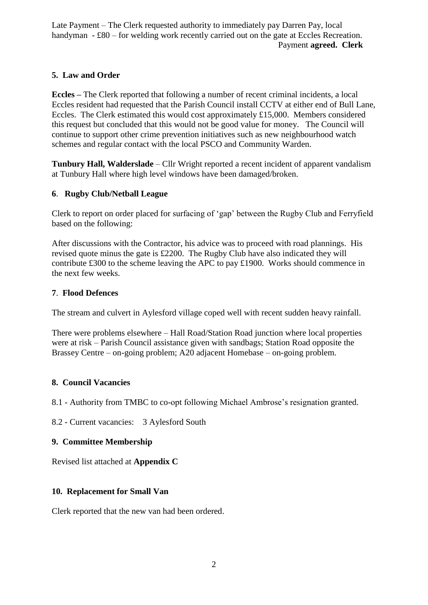Late Payment – The Clerk requested authority to immediately pay Darren Pay, local handyman - £80 – for welding work recently carried out on the gate at Eccles Recreation. Payment **agreed. Clerk**

### **5. Law and Order**

**Eccles –** The Clerk reported that following a number of recent criminal incidents, a local Eccles resident had requested that the Parish Council install CCTV at either end of Bull Lane, Eccles. The Clerk estimated this would cost approximately £15,000. Members considered this request but concluded that this would not be good value for money. The Council will continue to support other crime prevention initiatives such as new neighbourhood watch schemes and regular contact with the local PSCO and Community Warden.

**Tunbury Hall, Walderslade** – Cllr Wright reported a recent incident of apparent vandalism at Tunbury Hall where high level windows have been damaged/broken.

### **6**. **Rugby Club/Netball League**

Clerk to report on order placed for surfacing of 'gap' between the Rugby Club and Ferryfield based on the following:

After discussions with the Contractor, his advice was to proceed with road plannings. His revised quote minus the gate is £2200. The Rugby Club have also indicated they will contribute £300 to the scheme leaving the APC to pay £1900. Works should commence in the next few weeks.

#### **7**. **Flood Defences**

The stream and culvert in Aylesford village coped well with recent sudden heavy rainfall.

There were problems elsewhere – Hall Road/Station Road junction where local properties were at risk – Parish Council assistance given with sandbags; Station Road opposite the Brassey Centre – on-going problem; A20 adjacent Homebase – on-going problem.

## **8. Council Vacancies**

8.1 - Authority from TMBC to co-opt following Michael Ambrose's resignation granted.

8.2 - Current vacancies: 3 Aylesford South

## **9. Committee Membership**

Revised list attached at **Appendix C**

## **10. Replacement for Small Van**

Clerk reported that the new van had been ordered.